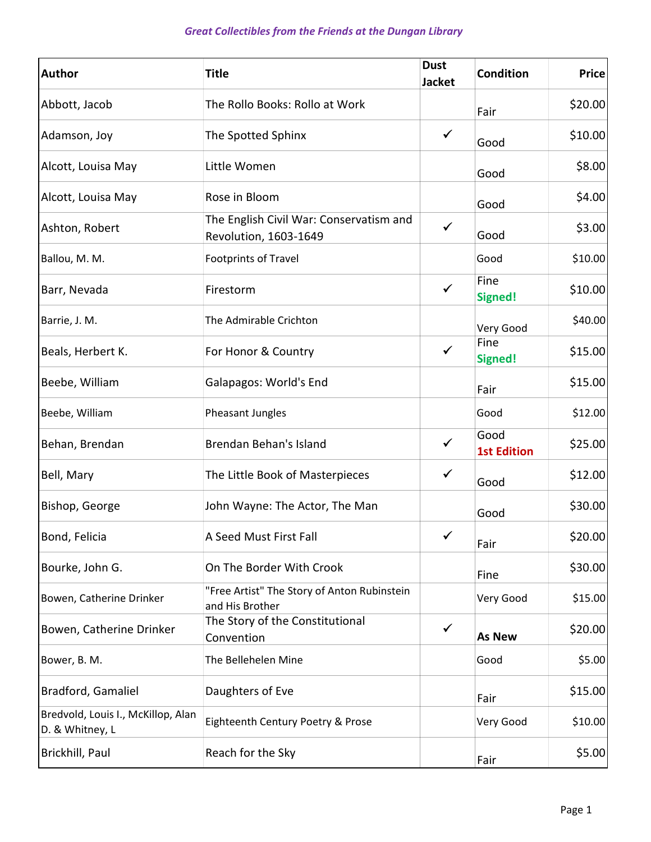| <b>Author</b>                                         | <b>Title</b>                                                     | <b>Dust</b><br><b>Jacket</b> | Condition                  | <b>Price</b> |
|-------------------------------------------------------|------------------------------------------------------------------|------------------------------|----------------------------|--------------|
| Abbott, Jacob                                         | The Rollo Books: Rollo at Work                                   |                              | Fair                       | \$20.00      |
| Adamson, Joy                                          | The Spotted Sphinx                                               | $\checkmark$                 | Good                       | \$10.00      |
| Alcott, Louisa May                                    | Little Women                                                     |                              | Good                       | \$8.00       |
| Alcott, Louisa May                                    | Rose in Bloom                                                    |                              | Good                       | \$4.00       |
| Ashton, Robert                                        | The English Civil War: Conservatism and<br>Revolution, 1603-1649 | $\checkmark$                 | Good                       | \$3.00       |
| Ballou, M. M.                                         | Footprints of Travel                                             |                              | Good                       | \$10.00      |
| Barr, Nevada                                          | Firestorm                                                        | ✓                            | Fine<br>Signed!            | \$10.00      |
| Barrie, J. M.                                         | The Admirable Crichton                                           |                              | Very Good                  | \$40.00      |
| Beals, Herbert K.                                     | For Honor & Country                                              | $\checkmark$                 | Fine<br>Signed!            | \$15.00      |
| Beebe, William                                        | Galapagos: World's End                                           |                              | Fair                       | \$15.00      |
| Beebe, William                                        | Pheasant Jungles                                                 |                              | Good                       | \$12.00      |
| Behan, Brendan                                        | Brendan Behan's Island                                           | ✓                            | Good<br><b>1st Edition</b> | \$25.00      |
| Bell, Mary                                            | The Little Book of Masterpieces                                  | $\checkmark$                 | Good                       | \$12.00      |
| Bishop, George                                        | John Wayne: The Actor, The Man                                   |                              | Good                       | \$30.00      |
| Bond, Felicia                                         | A Seed Must First Fall                                           | $\checkmark$                 | Fair                       | \$20.00      |
| Bourke, John G.                                       | On The Border With Crook                                         |                              | Fine                       | \$30.00      |
| Bowen, Catherine Drinker                              | "Free Artist" The Story of Anton Rubinstein<br>and His Brother   |                              | Very Good                  | \$15.00      |
| Bowen, Catherine Drinker                              | The Story of the Constitutional<br>Convention                    | $\checkmark$                 | <b>As New</b>              | \$20.00      |
| Bower, B. M.                                          | The Bellehelen Mine                                              |                              | Good                       | \$5.00       |
| Bradford, Gamaliel                                    | Daughters of Eve                                                 |                              | Fair                       | \$15.00      |
| Bredvold, Louis I., McKillop, Alan<br>D. & Whitney, L | Eighteenth Century Poetry & Prose                                |                              | Very Good                  | \$10.00      |
| Brickhill, Paul                                       | Reach for the Sky                                                |                              | Fair                       | \$5.00       |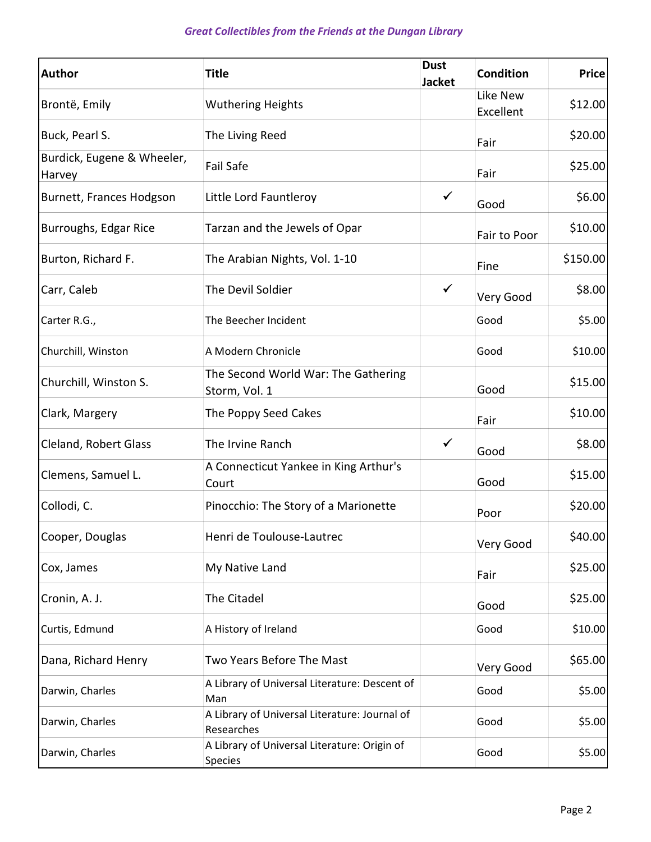| <b>Author</b>                        | <b>Title</b>                                                | <b>Dust</b><br><b>Jacket</b> | <b>Condition</b>      | <b>Price</b> |
|--------------------------------------|-------------------------------------------------------------|------------------------------|-----------------------|--------------|
| Brontë, Emily                        | <b>Wuthering Heights</b>                                    |                              | Like New<br>Excellent | \$12.00      |
| Buck, Pearl S.                       | The Living Reed                                             |                              | Fair                  | \$20.00      |
| Burdick, Eugene & Wheeler,<br>Harvey | Fail Safe                                                   |                              | Fair                  | \$25.00      |
| Burnett, Frances Hodgson             | Little Lord Fauntleroy                                      | $\checkmark$                 | Good                  | \$6.00       |
| Burroughs, Edgar Rice                | Tarzan and the Jewels of Opar                               |                              | Fair to Poor          | \$10.00      |
| Burton, Richard F.                   | The Arabian Nights, Vol. 1-10                               |                              | Fine                  | \$150.00     |
| Carr, Caleb                          | The Devil Soldier                                           | $\checkmark$                 | Very Good             | \$8.00       |
| Carter R.G.,                         | The Beecher Incident                                        |                              | Good                  | \$5.00       |
| Churchill, Winston                   | A Modern Chronicle                                          |                              | Good                  | \$10.00      |
| Churchill, Winston S.                | The Second World War: The Gathering<br>Storm, Vol. 1        |                              | Good                  | \$15.00      |
| Clark, Margery                       | The Poppy Seed Cakes                                        |                              | Fair                  | \$10.00      |
| Cleland, Robert Glass                | The Irvine Ranch                                            | $\checkmark$                 | Good                  | \$8.00       |
| Clemens, Samuel L.                   | A Connecticut Yankee in King Arthur's<br>Court              |                              | Good                  | \$15.00      |
| Collodi, C.                          | Pinocchio: The Story of a Marionette                        |                              | Poor                  | \$20.00      |
| Cooper, Douglas                      | Henri de Toulouse-Lautrec                                   |                              | Very Good             | \$40.00      |
| Cox, James                           | My Native Land                                              |                              | Fair                  | \$25.00      |
| Cronin, A. J.                        | The Citadel                                                 |                              | Good                  | \$25.00      |
| Curtis, Edmund                       | A History of Ireland                                        |                              | Good                  | \$10.00      |
| Dana, Richard Henry                  | Two Years Before The Mast                                   |                              | Very Good             | \$65.00      |
| Darwin, Charles                      | A Library of Universal Literature: Descent of<br>Man        |                              | Good                  | \$5.00       |
| Darwin, Charles                      | A Library of Universal Literature: Journal of<br>Researches |                              | Good                  | \$5.00       |
| Darwin, Charles                      | A Library of Universal Literature: Origin of<br>Species     |                              | Good                  | \$5.00       |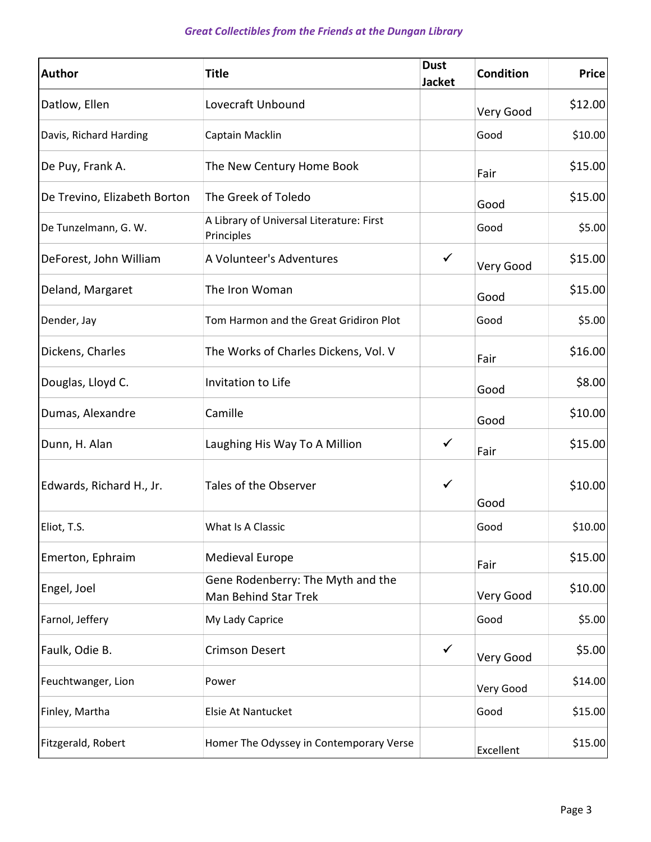| <b>Author</b>                | <b>Title</b>                                              | <b>Dust</b><br><b>Jacket</b> | <b>Condition</b> | <b>Price</b> |
|------------------------------|-----------------------------------------------------------|------------------------------|------------------|--------------|
| Datlow, Ellen                | Lovecraft Unbound                                         |                              | Very Good        | \$12.00      |
| Davis, Richard Harding       | Captain Macklin                                           |                              | Good             | \$10.00      |
| De Puy, Frank A.             | The New Century Home Book                                 |                              | Fair             | \$15.00      |
| De Trevino, Elizabeth Borton | The Greek of Toledo                                       |                              | Good             | \$15.00      |
| De Tunzelmann, G. W.         | A Library of Universal Literature: First<br>Principles    |                              | Good             | \$5.00       |
| DeForest, John William       | A Volunteer's Adventures                                  | $\checkmark$                 | Very Good        | \$15.00      |
| Deland, Margaret             | The Iron Woman                                            |                              | Good             | \$15.00      |
| Dender, Jay                  | Tom Harmon and the Great Gridiron Plot                    |                              | Good             | \$5.00       |
| Dickens, Charles             | The Works of Charles Dickens, Vol. V                      |                              | Fair             | \$16.00      |
| Douglas, Lloyd C.            | Invitation to Life                                        |                              | Good             | \$8.00       |
| Dumas, Alexandre             | Camille                                                   |                              | Good             | \$10.00      |
| Dunn, H. Alan                | Laughing His Way To A Million                             | $\checkmark$                 | Fair             | \$15.00      |
| Edwards, Richard H., Jr.     | Tales of the Observer                                     | $\checkmark$                 | Good             | \$10.00      |
| Eliot, T.S.                  | What Is A Classic                                         |                              | Good             | \$10.00      |
| Emerton, Ephraim             | <b>Medieval Europe</b>                                    |                              | Fair             | \$15.00      |
| Engel, Joel                  | Gene Rodenberry: The Myth and the<br>Man Behind Star Trek |                              | Very Good        | \$10.00      |
| Farnol, Jeffery              | My Lady Caprice                                           |                              | Good             | \$5.00       |
| Faulk, Odie B.               | <b>Crimson Desert</b>                                     | $\checkmark$                 | Very Good        | \$5.00       |
| Feuchtwanger, Lion           | Power                                                     |                              | Very Good        | \$14.00      |
| Finley, Martha               | Elsie At Nantucket                                        |                              | Good             | \$15.00      |
| Fitzgerald, Robert           | Homer The Odyssey in Contemporary Verse                   |                              | Excellent        | \$15.00      |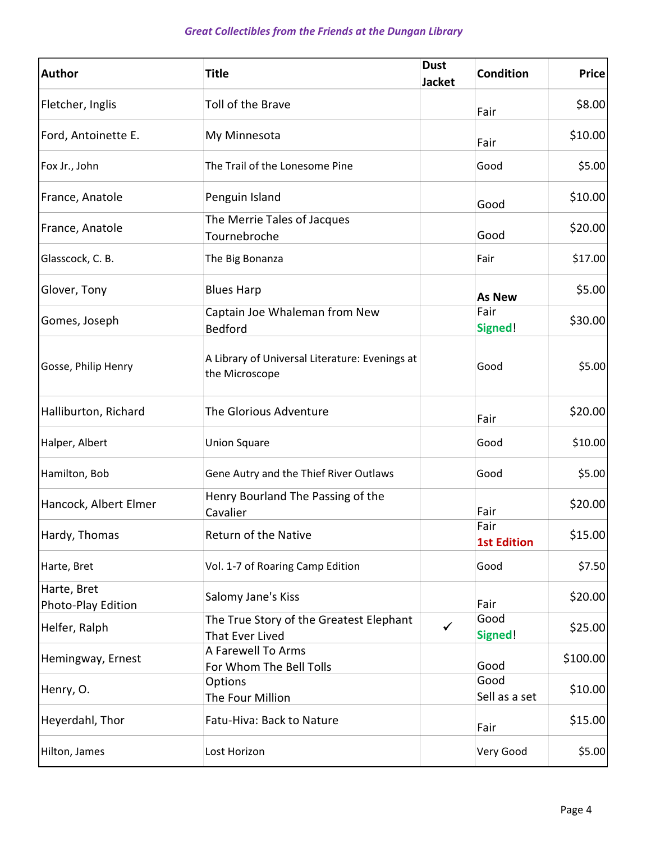| <b>Author</b>                     | <b>Title</b>                                                     | <b>Dust</b><br><b>Jacket</b> | <b>Condition</b>           | <b>Price</b> |
|-----------------------------------|------------------------------------------------------------------|------------------------------|----------------------------|--------------|
| Fletcher, Inglis                  | Toll of the Brave                                                |                              | Fair                       | \$8.00       |
| Ford, Antoinette E.               | My Minnesota                                                     |                              | Fair                       | \$10.00      |
| Fox Jr., John                     | The Trail of the Lonesome Pine                                   |                              | Good                       | \$5.00       |
| France, Anatole                   | Penguin Island                                                   |                              | Good                       | \$10.00      |
| France, Anatole                   | The Merrie Tales of Jacques<br>Tournebroche                      |                              | Good                       | \$20.00      |
| Glasscock, C. B.                  | The Big Bonanza                                                  |                              | Fair                       | \$17.00      |
| Glover, Tony                      | <b>Blues Harp</b>                                                |                              | <b>As New</b>              | \$5.00       |
| Gomes, Joseph                     | Captain Joe Whaleman from New<br><b>Bedford</b>                  |                              | Fair<br>Signed!            | \$30.00      |
| Gosse, Philip Henry               | A Library of Universal Literature: Evenings at<br>the Microscope |                              | Good                       | \$5.00       |
| Halliburton, Richard              | The Glorious Adventure                                           |                              | Fair                       | \$20.00      |
| Halper, Albert                    | <b>Union Square</b>                                              |                              | Good                       | \$10.00      |
| Hamilton, Bob                     | Gene Autry and the Thief River Outlaws                           |                              | Good                       | \$5.00       |
| Hancock, Albert Elmer             | Henry Bourland The Passing of the<br>Cavalier                    |                              | Fair                       | \$20.00      |
| Hardy, Thomas                     | Return of the Native                                             |                              | Fair<br><b>1st Edition</b> | \$15.00      |
| Harte, Bret                       | Vol. 1-7 of Roaring Camp Edition                                 |                              | Good                       | \$7.50       |
| Harte, Bret<br>Photo-Play Edition | Salomy Jane's Kiss                                               |                              | Fair                       | \$20.00      |
| Helfer, Ralph                     | The True Story of the Greatest Elephant<br>That Ever Lived       | ✓                            | Good<br>Signed!            | \$25.00      |
| Hemingway, Ernest                 | A Farewell To Arms<br>For Whom The Bell Tolls                    |                              | Good                       | \$100.00]    |
| Henry, O.                         | Options<br>The Four Million                                      |                              | Good<br>Sell as a set      | \$10.00      |
| Heyerdahl, Thor                   | Fatu-Hiva: Back to Nature                                        |                              | Fair                       | \$15.00      |
| Hilton, James                     | Lost Horizon                                                     |                              | Very Good                  | \$5.00       |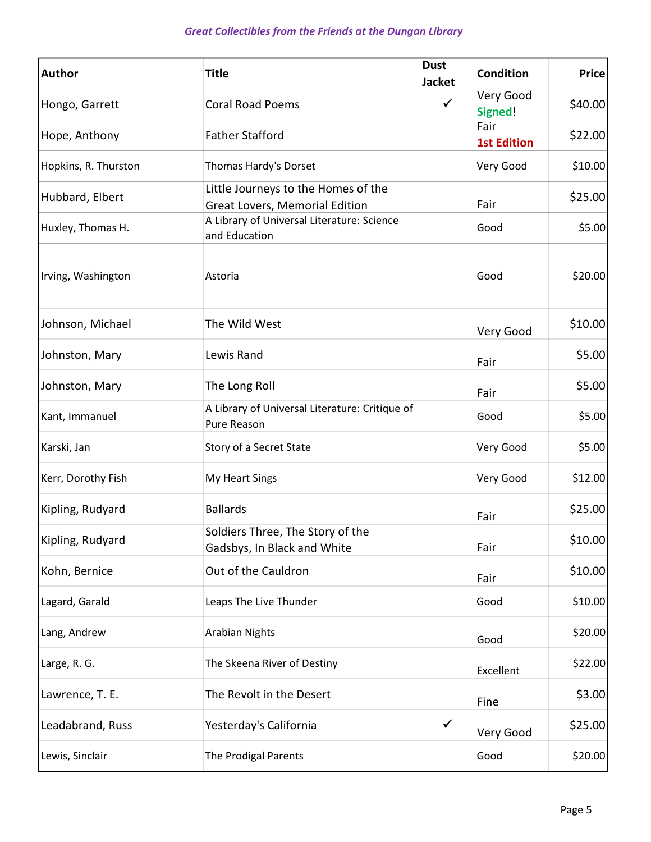## Great Collectibles from the Friends at the Dungan Library

| <b>Author</b>        | <b>Title</b>                                                          | <b>Dust</b><br><b>Jacket</b> | <b>Condition</b>           | <b>Price</b> |
|----------------------|-----------------------------------------------------------------------|------------------------------|----------------------------|--------------|
| Hongo, Garrett       | <b>Coral Road Poems</b>                                               |                              | Very Good<br>Signed!       | \$40.00      |
| Hope, Anthony        | <b>Father Stafford</b>                                                |                              | Fair<br><b>1st Edition</b> | \$22.00      |
| Hopkins, R. Thurston | Thomas Hardy's Dorset                                                 |                              | Very Good                  | \$10.00      |
| Hubbard, Elbert      | Little Journeys to the Homes of the<br>Great Lovers, Memorial Edition |                              | Fair                       | \$25.00      |
| Huxley, Thomas H.    | A Library of Universal Literature: Science<br>and Education           |                              | Good                       | \$5.00       |
| Irving, Washington   | Astoria                                                               |                              | Good                       | \$20.00      |
| Johnson, Michael     | The Wild West                                                         |                              | Very Good                  | \$10.00      |
| Johnston, Mary       | Lewis Rand                                                            |                              | Fair                       | \$5.00       |
| Johnston, Mary       | The Long Roll                                                         |                              | Fair                       | \$5.00       |
| Kant, Immanuel       | A Library of Universal Literature: Critique of<br>Pure Reason         |                              | Good                       | \$5.00       |
| Karski, Jan          | Story of a Secret State                                               |                              | Very Good                  | \$5.00       |
| Kerr, Dorothy Fish   | My Heart Sings                                                        |                              | Very Good                  | \$12.00      |
| Kipling, Rudyard     | <b>Ballards</b>                                                       |                              | Fair                       | \$25.00      |
| Kipling, Rudyard     | Soldiers Three, The Story of the<br>Gadsbys, In Black and White       |                              | Fair                       | \$10.00      |
| Kohn, Bernice        | Out of the Cauldron                                                   |                              | Fair                       | \$10.00      |
| Lagard, Garald       | Leaps The Live Thunder                                                |                              | Good                       | \$10.00      |
| Lang, Andrew         | <b>Arabian Nights</b>                                                 |                              | Good                       | \$20.00      |
| Large, R. G.         | The Skeena River of Destiny                                           |                              | Excellent                  | \$22.00      |
| Lawrence, T. E.      | The Revolt in the Desert                                              |                              | Fine                       | \$3.00       |
| Leadabrand, Russ     | Yesterday's California                                                | $\checkmark$                 | Very Good                  | \$25.00      |
| Lewis, Sinclair      | The Prodigal Parents                                                  |                              | Good                       | \$20.00      |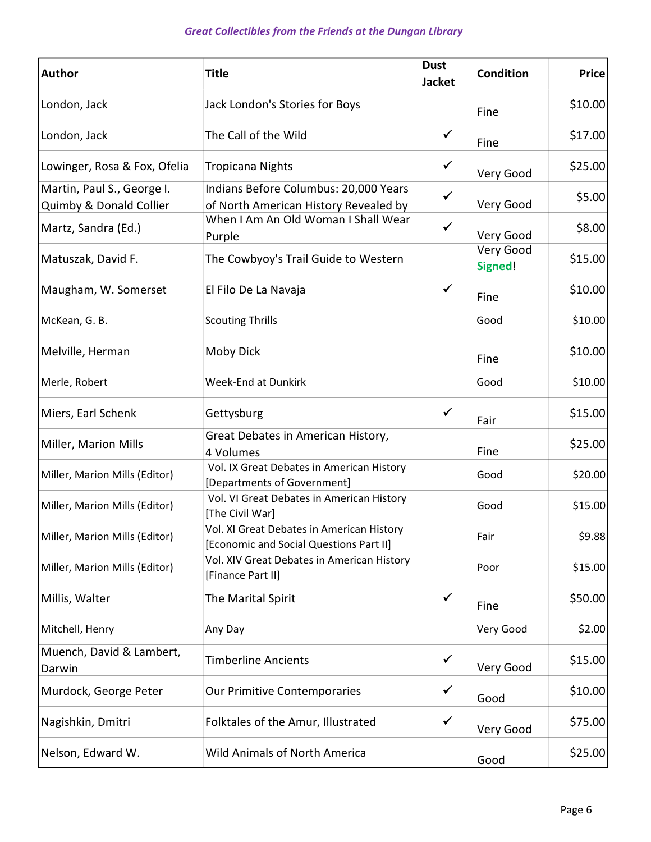| <b>Author</b>                                         | <b>Title</b>                                                                         | <b>Dust</b><br><b>Jacket</b> | <b>Condition</b>     | <b>Price</b> |
|-------------------------------------------------------|--------------------------------------------------------------------------------------|------------------------------|----------------------|--------------|
| London, Jack                                          | Jack London's Stories for Boys                                                       |                              | Fine                 | \$10.00      |
| London, Jack                                          | The Call of the Wild                                                                 | ✓                            | Fine                 | \$17.00      |
| Lowinger, Rosa & Fox, Ofelia                          | <b>Tropicana Nights</b>                                                              | $\checkmark$                 | Very Good            | \$25.00      |
| Martin, Paul S., George I.<br>Quimby & Donald Collier | Indians Before Columbus: 20,000 Years<br>of North American History Revealed by       | $\checkmark$                 | Very Good            | \$5.00       |
| Martz, Sandra (Ed.)                                   | When I Am An Old Woman I Shall Wear<br>Purple                                        | $\checkmark$                 | Very Good            | \$8.00       |
| Matuszak, David F.                                    | The Cowbyoy's Trail Guide to Western                                                 |                              | Very Good<br>Signed! | \$15.00      |
| Maugham, W. Somerset                                  | El Filo De La Navaja                                                                 | $\checkmark$                 | Fine                 | \$10.00      |
| McKean, G. B.                                         | <b>Scouting Thrills</b>                                                              |                              | Good                 | \$10.00      |
| Melville, Herman                                      | Moby Dick                                                                            |                              | Fine                 | \$10.00      |
| Merle, Robert                                         | <b>Week-End at Dunkirk</b>                                                           |                              | Good                 | \$10.00      |
| Miers, Earl Schenk                                    | Gettysburg                                                                           | $\checkmark$                 | Fair                 | \$15.00      |
| Miller, Marion Mills                                  | Great Debates in American History,<br>4 Volumes                                      |                              | Fine                 | \$25.00      |
| Miller, Marion Mills (Editor)                         | Vol. IX Great Debates in American History<br>[Departments of Government]             |                              | Good                 | \$20.00      |
| Miller, Marion Mills (Editor)                         | Vol. VI Great Debates in American History<br>[The Civil War]                         |                              | Good                 | \$15.00      |
| Miller, Marion Mills (Editor)                         | Vol. XI Great Debates in American History<br>[Economic and Social Questions Part II] |                              | Fair                 | \$9.88       |
| Miller, Marion Mills (Editor)                         | Vol. XIV Great Debates in American History<br>[Finance Part II]                      |                              | Poor                 | \$15.00      |
| Millis, Walter                                        | The Marital Spirit                                                                   | $\checkmark$                 | Fine                 | \$50.00      |
| Mitchell, Henry                                       | Any Day                                                                              |                              | Very Good            | \$2.00       |
| Muench, David & Lambert,<br>Darwin                    | <b>Timberline Ancients</b>                                                           | $\checkmark$                 | Very Good            | \$15.00      |
| Murdock, George Peter                                 | Our Primitive Contemporaries                                                         | $\checkmark$                 | Good                 | \$10.00      |
| Nagishkin, Dmitri                                     | Folktales of the Amur, Illustrated                                                   | $\checkmark$                 | Very Good            | \$75.00      |
| Nelson, Edward W.                                     | <b>Wild Animals of North America</b>                                                 |                              | Good                 | \$25.00      |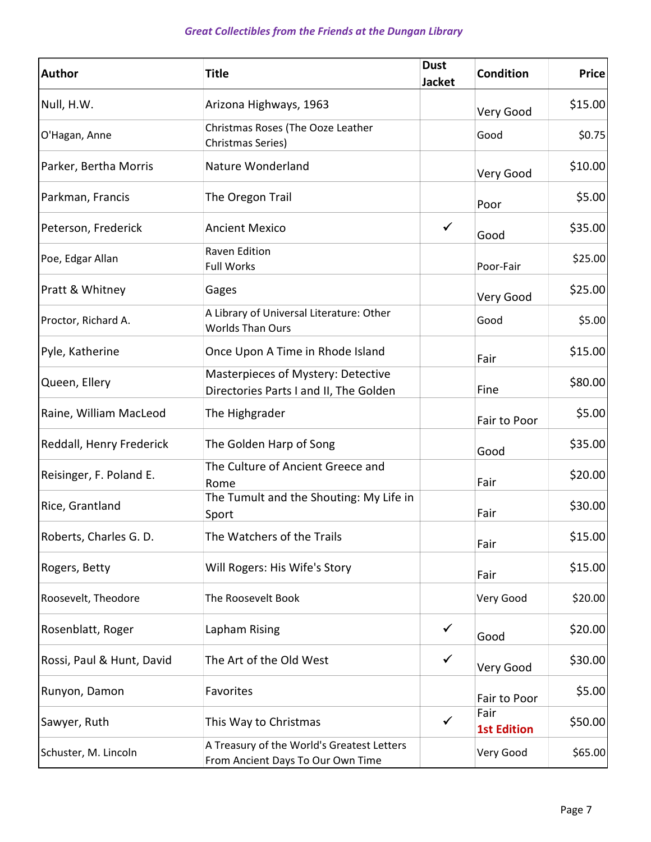| <b>Author</b>             | <b>Title</b>                                                                    | <b>Dust</b><br><b>Jacket</b> | <b>Condition</b>           | <b>Price</b> |
|---------------------------|---------------------------------------------------------------------------------|------------------------------|----------------------------|--------------|
| Null, H.W.                | Arizona Highways, 1963                                                          |                              | Very Good                  | \$15.00      |
| O'Hagan, Anne             | Christmas Roses (The Ooze Leather<br>Christmas Series)                          |                              | Good                       | \$0.75       |
| Parker, Bertha Morris     | Nature Wonderland                                                               |                              | Very Good                  | \$10.00      |
| Parkman, Francis          | The Oregon Trail                                                                |                              | Poor                       | \$5.00       |
| Peterson, Frederick       | <b>Ancient Mexico</b>                                                           | $\checkmark$                 | Good                       | \$35.00      |
| Poe, Edgar Allan          | Raven Edition<br><b>Full Works</b>                                              |                              | Poor-Fair                  | \$25.00      |
| Pratt & Whitney           | Gages                                                                           |                              | Very Good                  | \$25.00      |
| Proctor, Richard A.       | A Library of Universal Literature: Other<br><b>Worlds Than Ours</b>             |                              | Good                       | \$5.00       |
| Pyle, Katherine           | Once Upon A Time in Rhode Island                                                |                              | Fair                       | \$15.00      |
| Queen, Ellery             | Masterpieces of Mystery: Detective<br>Directories Parts I and II, The Golden    |                              | Fine                       | \$80.00      |
| Raine, William MacLeod    | The Highgrader                                                                  |                              | Fair to Poor               | \$5.00       |
| Reddall, Henry Frederick  | The Golden Harp of Song                                                         |                              | Good                       | \$35.00      |
| Reisinger, F. Poland E.   | The Culture of Ancient Greece and<br>Rome                                       |                              | Fair                       | \$20.00      |
| Rice, Grantland           | The Tumult and the Shouting: My Life in<br>Sport                                |                              | Fair                       | \$30.00      |
| Roberts, Charles G. D.    | The Watchers of the Trails                                                      |                              | Fair                       | \$15.00      |
| Rogers, Betty             | Will Rogers: His Wife's Story                                                   |                              | Fair                       | \$15.00      |
| Roosevelt, Theodore       | The Roosevelt Book                                                              |                              | Very Good                  | \$20.00      |
| Rosenblatt, Roger         | Lapham Rising                                                                   | $\checkmark$                 | Good                       | \$20.00      |
| Rossi, Paul & Hunt, David | The Art of the Old West                                                         | $\checkmark$                 | Very Good                  | \$30.00      |
| Runyon, Damon             | Favorites                                                                       |                              | Fair to Poor               | \$5.00       |
| Sawyer, Ruth              | This Way to Christmas                                                           | $\checkmark$                 | Fair<br><b>1st Edition</b> | \$50.00      |
| Schuster, M. Lincoln      | A Treasury of the World's Greatest Letters<br>From Ancient Days To Our Own Time |                              | Very Good                  | \$65.00      |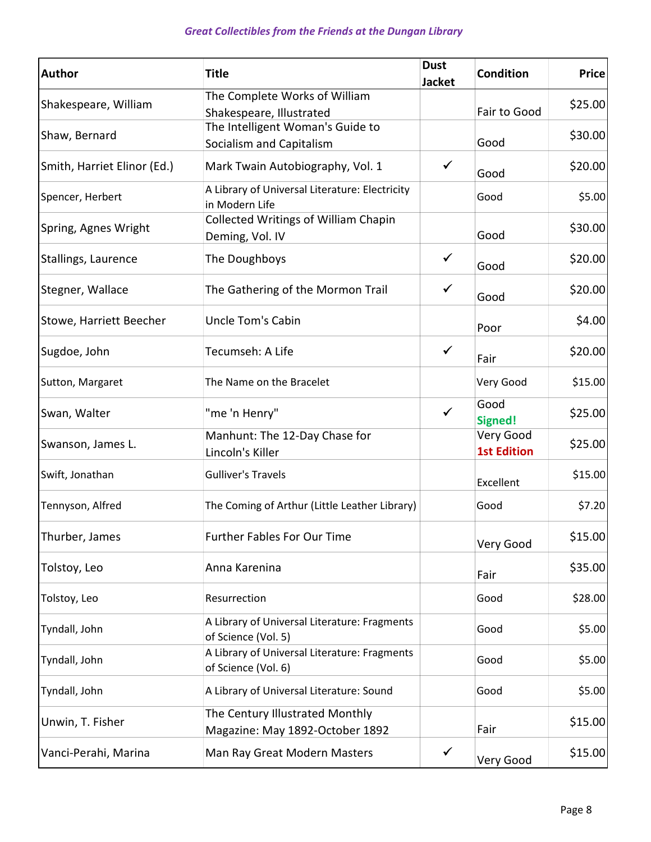| <b>Author</b>               | <b>Title</b>                                                        | <b>Dust</b><br><b>Jacket</b> | <b>Condition</b>                | <b>Price</b> |
|-----------------------------|---------------------------------------------------------------------|------------------------------|---------------------------------|--------------|
| Shakespeare, William        | The Complete Works of William<br>Shakespeare, Illustrated           |                              | Fair to Good                    | \$25.00      |
| Shaw, Bernard               | The Intelligent Woman's Guide to<br>Socialism and Capitalism        |                              | Good                            | \$30.00      |
| Smith, Harriet Elinor (Ed.) | Mark Twain Autobiography, Vol. 1                                    | $\checkmark$                 | Good                            | \$20.00      |
| Spencer, Herbert            | A Library of Universal Literature: Electricity<br>in Modern Life    |                              | Good                            | \$5.00       |
| Spring, Agnes Wright        | <b>Collected Writings of William Chapin</b><br>Deming, Vol. IV      |                              | Good                            | \$30.00      |
| Stallings, Laurence         | The Doughboys                                                       | $\checkmark$                 | Good                            | \$20.00      |
| Stegner, Wallace            | The Gathering of the Mormon Trail                                   | $\checkmark$                 | Good                            | \$20.00      |
| Stowe, Harriett Beecher     | <b>Uncle Tom's Cabin</b>                                            |                              | Poor                            | \$4.00       |
| Sugdoe, John                | Tecumseh: A Life                                                    | $\checkmark$                 | Fair                            | \$20.00      |
| Sutton, Margaret            | The Name on the Bracelet                                            |                              | Very Good                       | \$15.00      |
| Swan, Walter                | "me 'n Henry"                                                       | $\checkmark$                 | Good<br><b>Signed!</b>          | \$25.00      |
| Swanson, James L.           | Manhunt: The 12-Day Chase for<br>Lincoln's Killer                   |                              | Very Good<br><b>1st Edition</b> | \$25.00      |
| Swift, Jonathan             | <b>Gulliver's Travels</b>                                           |                              | Excellent                       | \$15.00      |
| Tennyson, Alfred            | The Coming of Arthur (Little Leather Library)                       |                              | Good                            | \$7.20       |
| Thurber, James              | Further Fables For Our Time                                         |                              | Very Good                       | \$15.00      |
| Tolstoy, Leo                | Anna Karenina                                                       |                              | Fair                            | \$35.00      |
| Tolstoy, Leo                | Resurrection                                                        |                              | Good                            | \$28.00      |
| Tyndall, John               | A Library of Universal Literature: Fragments<br>of Science (Vol. 5) |                              | Good                            | \$5.00       |
| Tyndall, John               | A Library of Universal Literature: Fragments<br>of Science (Vol. 6) |                              | Good                            | \$5.00       |
| Tyndall, John               | A Library of Universal Literature: Sound                            |                              | Good                            | \$5.00       |
| Unwin, T. Fisher            | The Century Illustrated Monthly<br>Magazine: May 1892-October 1892  |                              | Fair                            | \$15.00      |
| Vanci-Perahi, Marina        | Man Ray Great Modern Masters                                        | $\checkmark$                 | Very Good                       | \$15.00      |